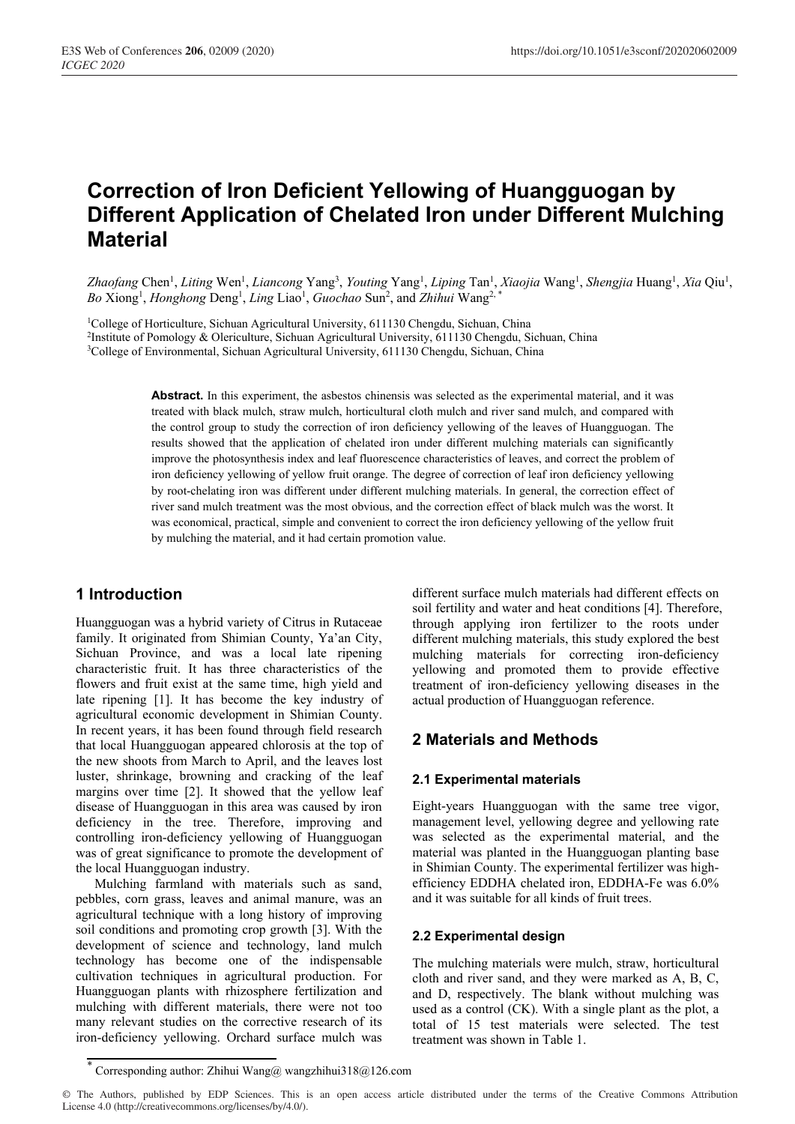# **Correction of Iron Deficient Yellowing of Huangguogan by Different Application of Chelated Iron under Different Mulching Material**

Zhaofang Chen<sup>1</sup>, Liting Wen<sup>1</sup>, Liancong Yang<sup>3</sup>, Youting Yang<sup>1</sup>, Liping Tan<sup>1</sup>, Xiaojia Wang<sup>1</sup>, Shengjia Huang<sup>1</sup>, Xia Qiu<sup>1</sup>, Bo Xiong<sup>1</sup>, *Honghong* Deng<sup>1</sup>, *Ling* Liao<sup>1</sup>, *Guochao* Sun<sup>2</sup>, and *Zhihui* Wang<sup>2,\*</sup>

<sup>1</sup>College of Horticulture, Sichuan Agricultural University, 611130 Chengdu, Sichuan, China<br><sup>2</sup>Institute of Pomology & Olericulture, Sichuan Agricultural University, 611130 Chengdu, Sichuan, China<br><sup>3</sup>College of Environment

**Abstract.** In this experiment, the asbestos chinensis was selected as the experimental material, and it was treated with black mulch, straw mulch, horticultural cloth mulch and river sand mulch, and compared with the control group to study the correction of iron deficiency yellowing of the leaves of Huangguogan. The results showed that the application of chelated iron under different mulching materials can significantly improve the photosynthesis index and leaf fluorescence characteristics of leaves, and correct the problem of iron deficiency yellowing of yellow fruit orange. The degree of correction of leaf iron deficiency yellowing by root-chelating iron was different under different mulching materials. In general, the correction effect of river sand mulch treatment was the most obvious, and the correction effect of black mulch was the worst. It was economical, practical, simple and convenient to correct the iron deficiency yellowing of the yellow fruit by mulching the material, and it had certain promotion value.

# **1 Introduction**

Huangguogan was a hybrid variety of Citrus in Rutaceae family. It originated from Shimian County, Ya'an City, Sichuan Province, and was a local late ripening characteristic fruit. It has three characteristics of the flowers and fruit exist at the same time, high yield and late ripening [1]. It has become the key industry of agricultural economic development in Shimian County. In recent years, it has been found through field research that local Huangguogan appeared chlorosis at the top of the new shoots from March to April, and the leaves lost luster, shrinkage, browning and cracking of the leaf margins over time [2]. It showed that the yellow leaf disease of Huangguogan in this area was caused by iron deficiency in the tree. Therefore, improving and controlling iron-deficiency yellowing of Huangguogan was of great significance to promote the development of the local Huangguogan industry.

Mulching farmland with materials such as sand, pebbles, corn grass, leaves and animal manure, was an agricultural technique with a long history of improving soil conditions and promoting crop growth [3]. With the development of science and technology, land mulch technology has become one of the indispensable cultivation techniques in agricultural production. For Huangguogan plants with rhizosphere fertilization and mulching with different materials, there were not too many relevant studies on the corrective research of its iron-deficiency yellowing. Orchard surface mulch was

different surface mulch materials had different effects on soil fertility and water and heat conditions [4]. Therefore, through applying iron fertilizer to the roots under different mulching materials, this study explored the best mulching materials for correcting iron-deficiency yellowing and promoted them to provide effective treatment of iron-deficiency yellowing diseases in the actual production of Huangguogan reference.

# **2 Materials and Methods**

## **2.1 Experimental materials**

Eight-years Huangguogan with the same tree vigor, management level, yellowing degree and yellowing rate was selected as the experimental material, and the material was planted in the Huangguogan planting base in Shimian County. The experimental fertilizer was highefficiency EDDHA chelated iron, EDDHA-Fe was 6.0% and it was suitable for all kinds of fruit trees.

## **2.2 Experimental design**

The mulching materials were mulch, straw, horticultural cloth and river sand, and they were marked as A, B, C, and D, respectively. The blank without mulching was used as a control (CK). With a single plant as the plot, a total of 15 test materials were selected. The test treatment was shown in Table 1.

<sup>\*</sup> Corresponding author: Zhihui Wang@ wangzhihui318@126.com

<sup>©</sup> The Authors, published by EDP Sciences. This is an open access article distributed under the terms of the Creative Commons Attribution License 4.0 (http://creativecommons.org/licenses/by/4.0/).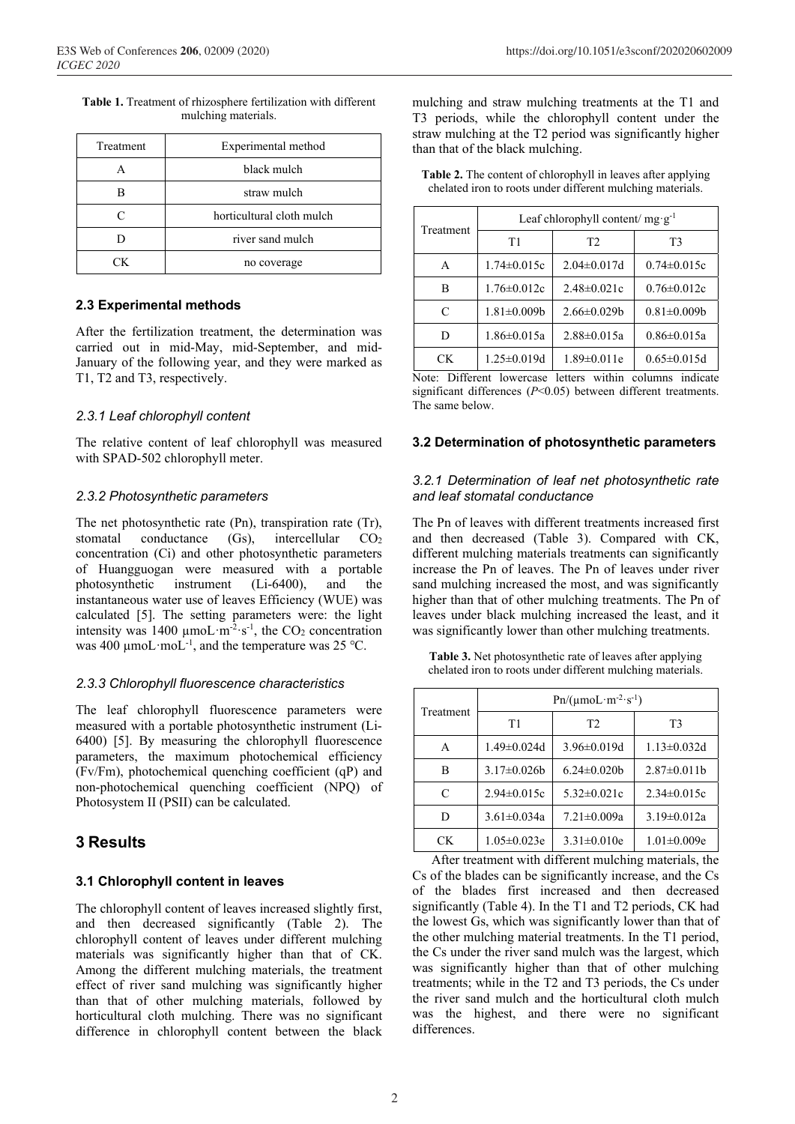**Table 1.** Treatment of rhizosphere fertilization with different mulching materials.

| Treatment | Experimental method       |
|-----------|---------------------------|
|           | black mulch               |
|           | straw mulch               |
|           | horticultural cloth mulch |
|           | river sand mulch          |
| ™         | no coverage               |

## **2.3 Experimental methods**

After the fertilization treatment, the determination was carried out in mid-May, mid-September, and mid-January of the following year, and they were marked as T1, T2 and T3, respectively.

## *2.3.1 Leaf chlorophyll content*

The relative content of leaf chlorophyll was measured with SPAD-502 chlorophyll meter.

## *2.3.2 Photosynthetic parameters*

The net photosynthetic rate (Pn), transpiration rate (Tr), stomatal conductance  $(Gs)$ , intercellular  $CO<sub>2</sub>$ concentration (Ci) and other photosynthetic parameters of Huangguogan were measured with a portable photosynthetic instrument (Li-6400), and the instantaneous water use of leaves Efficiency (WUE) was calculated [5]. The setting parameters were: the light intensity was 1400  $\mu$ moL·m<sup>-2</sup>·s<sup>-1</sup>, the CO<sub>2</sub> concentration was 400  $\mu$ moL·moL<sup>-1</sup>, and the temperature was 25 °C.

## *2.3.3 Chlorophyll fluorescence characteristics*

The leaf chlorophyll fluorescence parameters were measured with a portable photosynthetic instrument (Li-6400) [5]. By measuring the chlorophyll fluorescence parameters, the maximum photochemical efficiency (Fv/Fm), photochemical quenching coefficient (qP) and non-photochemical quenching coefficient (NPQ) of Photosystem II (PSII) can be calculated.

# **3 Results**

## **3.1 Chlorophyll content in leaves**

The chlorophyll content of leaves increased slightly first, and then decreased significantly (Table 2). The chlorophyll content of leaves under different mulching materials was significantly higher than that of CK. Among the different mulching materials, the treatment effect of river sand mulching was significantly higher than that of other mulching materials, followed by horticultural cloth mulching. There was no significant difference in chlorophyll content between the black

mulching and straw mulching treatments at the T1 and T3 periods, while the chlorophyll content under the straw mulching at the T2 period was significantly higher than that of the black mulching.

**Table 2.** The content of chlorophyll in leaves after applying chelated iron to roots under different mulching materials.

| Treatment | Leaf chlorophyll content/ $mg \cdot g^{-1}$ |                    |                   |  |
|-----------|---------------------------------------------|--------------------|-------------------|--|
|           | T1                                          | T <sub>2</sub>     | T3                |  |
| A         | $1.74 \pm 0.015c$                           | $2.04 \pm 0.017$ d | $0.74 \pm 0.015c$ |  |
| в         | $1.76 \pm 0.012c$                           | $2.48 \pm 0.021c$  | $0.76 \pm 0.012c$ |  |
| C         | $1.81 \pm 0.009b$                           | $2.66 \pm 0.029$   | $0.81 \pm 0.009$  |  |
| D         | $1.86 \pm 0.015a$                           | $2.88 \pm 0.015a$  | $0.86 \pm 0.015a$ |  |
| CК        | $1.25 \pm 0.019d$                           | $1.89 \pm 0.011e$  | $0.65 \pm 0.015d$ |  |

Note: Different lowercase letters within columns indicate significant differences (*P*<0.05) between different treatments. The same below.

#### **3.2 Determination of photosynthetic parameters**

#### *3.2.1 Determination of leaf net photosynthetic rate and leaf stomatal conductance*

The Pn of leaves with different treatments increased first and then decreased (Table 3). Compared with CK, different mulching materials treatments can significantly increase the Pn of leaves. The Pn of leaves under river sand mulching increased the most, and was significantly higher than that of other mulching treatments. The Pn of leaves under black mulching increased the least, and it was significantly lower than other mulching treatments.

**Table 3.** Net photosynthetic rate of leaves after applying chelated iron to roots under different mulching materials.

| Treatment | $Pn/( \mu m D \cdot m^{-2} \cdot s^{-1})$ |                   |                    |  |
|-----------|-------------------------------------------|-------------------|--------------------|--|
|           | T1                                        | T <sub>2</sub>    | T <sub>3</sub>     |  |
| A         | $1.49 \pm 0.024$ d                        | $3.96 \pm 0.019d$ | $1.13 \pm 0.032$ d |  |
| в         | $3.17 \pm 0.026$                          | $6.24 \pm 0.020$  | $2.87 \pm 0.011$ b |  |
| C         | $2.94 \pm 0.015c$                         | $5.32 \pm 0.021c$ | $2.34 \pm 0.015c$  |  |
| D         | $3.61 \pm 0.034a$                         | $7.21 \pm 0.009a$ | $3.19 \pm 0.012a$  |  |
| CК        | $1.05 \pm 0.023e$                         | $3.31 \pm 0.010e$ | $1.01 \pm 0.009e$  |  |

After treatment with different mulching materials, the Cs of the blades can be significantly increase, and the Cs of the blades first increased and then decreased significantly (Table 4). In the T1 and T2 periods, CK had the lowest Gs, which was significantly lower than that of the other mulching material treatments. In the T1 period, the Cs under the river sand mulch was the largest, which was significantly higher than that of other mulching treatments; while in the T2 and T3 periods, the Cs under the river sand mulch and the horticultural cloth mulch was the highest, and there were no significant differences.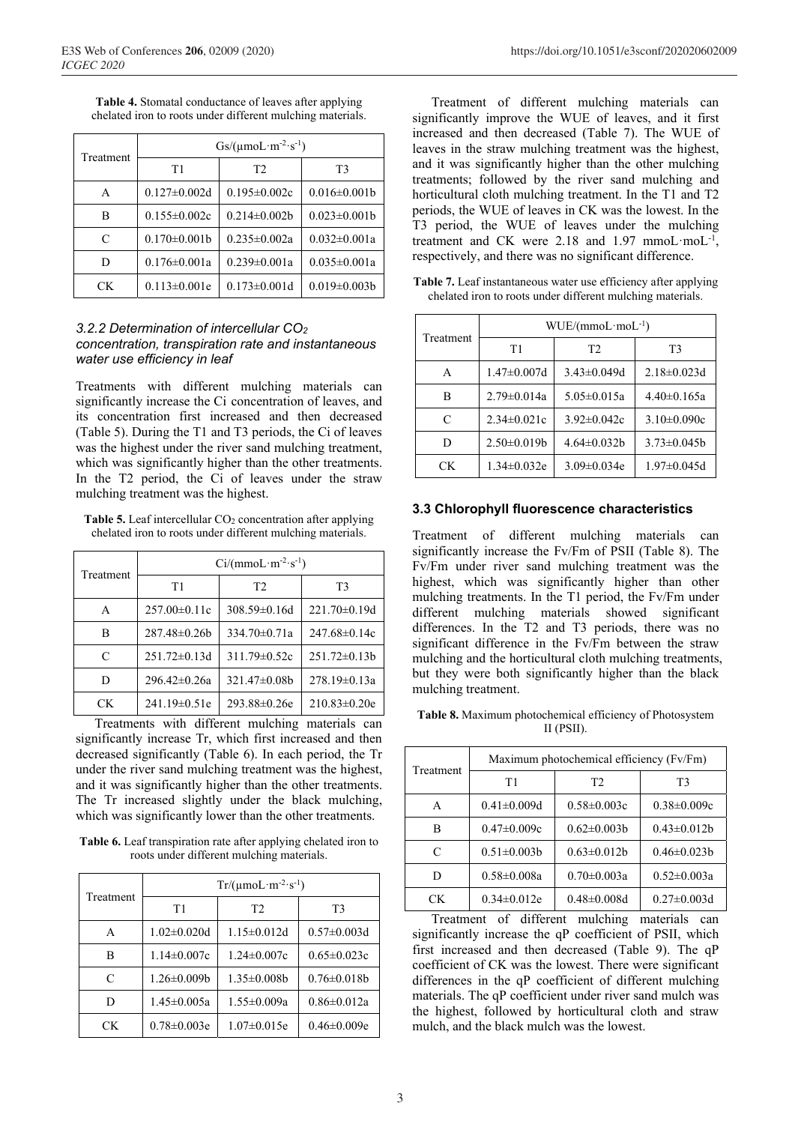| Treatment | $Gs/(\mu \text{mol}\cdot \text{m}^{-2}\cdot \text{s}^{-1})$ |                    |                     |  |
|-----------|-------------------------------------------------------------|--------------------|---------------------|--|
|           | T1                                                          | T <sub>2</sub>     | T <sub>3</sub>      |  |
| А         | $0.127 \pm 0.002d$                                          | $0.195 \pm 0.002c$ | $0.016 \pm 0.001$   |  |
| в         | $0.155 \pm 0.002c$                                          | $0.214 \pm 0.002b$ | $0.023 \pm 0.001b$  |  |
| C         | $0.170 \pm 0.001b$                                          | $0.235 \pm 0.002a$ | $0.032 \pm 0.001a$  |  |
| D         | $0.176 \pm 0.001a$                                          | $0.239 \pm 0.001a$ | $0.035 \pm 0.001a$  |  |
| CК        | $0.113 \pm 0.001e$                                          | $0.173 \pm 0.001d$ | $0.019 \pm 0.003 b$ |  |

**Table 4.** Stomatal conductance of leaves after applying chelated iron to roots under different mulching materials.

#### *3.2.2 Determination of intercellular CO2 concentration, transpiration rate and instantaneous water use efficiency in leaf*

Treatments with different mulching materials can significantly increase the Ci concentration of leaves, and its concentration first increased and then decreased (Table 5). During the T1 and T3 periods, the Ci of leaves was the highest under the river sand mulching treatment, which was significantly higher than the other treatments. In the T<sub>2</sub> period, the C<sub>1</sub> of leaves under the straw mulching treatment was the highest.

**Table 5.** Leaf intercellular CO<sub>2</sub> concentration after applying chelated iron to roots under different mulching materials.

| Treatment | $Ci/(mmoL·m-2·s-1)$ |                    |                    |  |
|-----------|---------------------|--------------------|--------------------|--|
|           | T1                  | T2                 | T <sub>3</sub>     |  |
| A         | $257.00 \pm 0.11c$  | $308.59 \pm 0.16d$ | $221.70 \pm 0.19d$ |  |
| в         | $287.48 \pm 0.26b$  | $334.70 \pm 0.71a$ | $247.68 \pm 0.14c$ |  |
| C         | $251.72 \pm 0.13$ d | $311.79 \pm 0.52c$ | $251.72 \pm 0.13b$ |  |
| D         | 296.42±0.26a        | $321.47\pm0.08b$   | $278.19 \pm 0.13a$ |  |
| CK.       | $241.19 \pm 0.51$ e | $293.88 \pm 0.26e$ | $210.83 \pm 0.20e$ |  |

Treatments with different mulching materials can significantly increase Tr, which first increased and then decreased significantly (Table 6). In each period, the Tr under the river sand mulching treatment was the highest, and it was significantly higher than the other treatments. The Tr increased slightly under the black mulching, which was significantly lower than the other treatments.

**Table 6.** Leaf transpiration rate after applying chelated iron to roots under different mulching materials.

| Treatment | $Tr/(\mu \text{mol}\cdot \text{m}^{-2}\cdot \text{s}^{-1})$ |                   |                    |  |
|-----------|-------------------------------------------------------------|-------------------|--------------------|--|
|           | T1                                                          | T <sub>2</sub>    | T <sub>3</sub>     |  |
| A         | $1.02 \pm 0.020d$                                           | $1.15 \pm 0.012d$ | $0.57 \pm 0.003$ d |  |
| в         | $1.14 \pm 0.007c$                                           | $1.24 \pm 0.007c$ | $0.65 \pm 0.023c$  |  |
| C         | $1.26 \pm 0.009$                                            | $1.35 \pm 0.008b$ | $0.76 \pm 0.018b$  |  |
| D         | $1.45 \pm 0.005a$                                           | $1.55 \pm 0.009a$ | $0.86 \pm 0.012a$  |  |
| CК        | $0.78 \pm 0.003e$                                           | $1.07 \pm 0.015e$ | $0.46 \pm 0.009e$  |  |

Treatment of different mulching materials can significantly improve the WUE of leaves, and it first increased and then decreased (Table 7). The WUE of leaves in the straw mulching treatment was the highest, and it was significantly higher than the other mulching treatments; followed by the river sand mulching and horticultural cloth mulching treatment. In the T1 and T2 periods, the WUE of leaves in CK was the lowest. In the T3 period, the WUE of leaves under the mulching treatment and CK were 2.18 and 1.97 mmoL·moL<sup>-1</sup>, respectively, and there was no significant difference.

| Table 7. Leaf instantaneous water use efficiency after applying |  |  |
|-----------------------------------------------------------------|--|--|
| chelated iron to roots under different mulching materials.      |  |  |

| Treatment | WUE/(mmoL·mol·1)   |                    |                    |  |
|-----------|--------------------|--------------------|--------------------|--|
|           | T1                 | T <sub>2</sub>     | T <sub>3</sub>     |  |
| A         | $1.47 \pm 0.007$ d | $3.43 \pm 0.049$ d | $2.18 \pm 0.023$ d |  |
| B         | $2.79 \pm 0.014a$  | $5.05 \pm 0.015a$  | $4.40 \pm 0.165$ a |  |
| C         | $2.34 \pm 0.021c$  | $3.92 \pm 0.042c$  | $3.10\pm0.090c$    |  |
| D         | $2.50 \pm 0.019$   | $4.64 \pm 0.032 b$ | $3.73 \pm 0.045 b$ |  |
| CK.       | $1.34 \pm 0.032e$  | $3.09 \pm 0.034e$  | $1.97 \pm 0.045$ d |  |

#### **3.3 Chlorophyll fluorescence characteristics**

Treatment of different mulching materials can significantly increase the Fv/Fm of PSII (Table 8). The Fv/Fm under river sand mulching treatment was the highest, which was significantly higher than other mulching treatments. In the T1 period, the Fv/Fm under different mulching materials showed significant differences. In the T2 and T3 periods, there was no significant difference in the Fv/Fm between the straw mulching and the horticultural cloth mulching treatments, but they were both significantly higher than the black mulching treatment.

**Table 8.** Maximum photochemical efficiency of Photosystem II (PSII).

| Treatment | Maximum photochemical efficiency (Fv/Fm) |                    |                    |  |
|-----------|------------------------------------------|--------------------|--------------------|--|
|           | T1                                       | T2                 | T <sub>3</sub>     |  |
| A         | $0.41 \pm 0.009d$                        | $0.58 \pm 0.003c$  | $0.38 \pm 0.009c$  |  |
| в         | $0.47 \pm 0.009c$                        | $0.62 \pm 0.003 b$ | $0.43 \pm 0.012b$  |  |
| C         | $0.51 \pm 0.003 b$                       | $0.63 \pm 0.012b$  | $0.46 \pm 0.023 b$ |  |
| D         | $0.58 \pm 0.008a$                        | $0.70 \pm 0.003a$  | $0.52 \pm 0.003a$  |  |
| CК        | $0.34 \pm 0.012e$                        | $0.48 \pm 0.008$ d | $0.27 \pm 0.003$ d |  |

Treatment of different mulching materials can significantly increase the qP coefficient of PSII, which first increased and then decreased (Table 9). The qP coefficient of CK was the lowest. There were significant differences in the qP coefficient of different mulching materials. The qP coefficient under river sand mulch was the highest, followed by horticultural cloth and straw mulch, and the black mulch was the lowest.